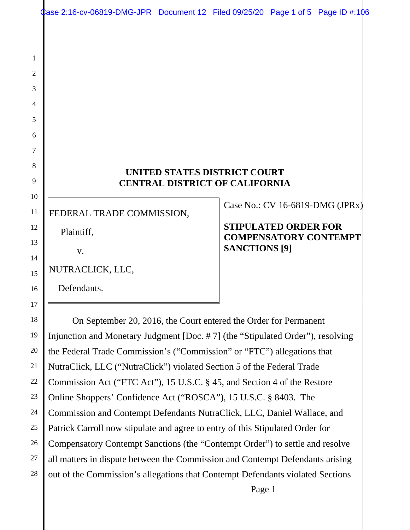$Q$ ase 2:16-cv-06819-DMG-JPR Document 12 Filed 09/25/20 Page 1 of 5 Page ID #:106

#### **UNITED STATES DISTRICT COURT CENTRAL DISTRICT OF CALIFORNIA**

FEDERAL TRADE COMMISSION,

Plaintiff,

1

2

3

4

5

6

7

8

9

10

11

12

13

14

15

16

17

18

19

20

21

22

23

24

25

26

27

28

v.

NUTRACLICK, LLC,

Defendants.

Case No.: CV 16-6819-DMG (JPRx)

## **STIPULATED ORDER FOR COMPENSATORY CONTEMPT SANCTIONS [9]**

On September 20, 2016, the Court entered the Order for Permanent Injunction and Monetary Judgment [Doc. # 7] (the "Stipulated Order"), resolving the Federal Trade Commission's ("Commission" or "FTC") allegations that NutraClick, LLC ("NutraClick") violated Section 5 of the Federal Trade Commission Act ("FTC Act"), 15 U.S.C. § 45, and Section 4 of the Restore Online Shoppers' Confidence Act ("ROSCA"), 15 U.S.C. § 8403. The Commission and Contempt Defendants NutraClick, LLC, Daniel Wallace, and Patrick Carroll now stipulate and agree to entry of this Stipulated Order for Compensatory Contempt Sanctions (the "Contempt Order") to settle and resolve all matters in dispute between the Commission and Contempt Defendants arising out of the Commission's allegations that Contempt Defendants violated Sections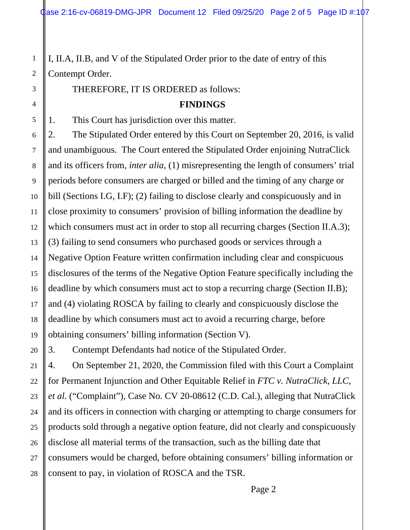I, II.A, II.B, and V of the Stipulated Order prior to the date of entry of this Contempt Order.

THEREFORE, IT IS ORDERED as follows:

#### **FINDINGS**

1. This Court has jurisdiction over this matter.

2. The Stipulated Order entered by this Court on September 20, 2016, is valid and unambiguous. The Court entered the Stipulated Order enjoining NutraClick and its officers from, *inter alia*, (1) misrepresenting the length of consumers' trial periods before consumers are charged or billed and the timing of any charge or bill (Sections I.G, I.F); (2) failing to disclose clearly and conspicuously and in close proximity to consumers' provision of billing information the deadline by which consumers must act in order to stop all recurring charges (Section II.A.3); (3) failing to send consumers who purchased goods or services through a Negative Option Feature written confirmation including clear and conspicuous disclosures of the terms of the Negative Option Feature specifically including the deadline by which consumers must act to stop a recurring charge (Section II.B); and (4) violating ROSCA by failing to clearly and conspicuously disclose the deadline by which consumers must act to avoid a recurring charge, before obtaining consumers' billing information (Section V).

3. Contempt Defendants had notice of the Stipulated Order.

4. On September 21, 2020, the Commission filed with this Court a Complaint for Permanent Injunction and Other Equitable Relief in *FTC v. NutraClick, LLC, et al.* ("Complaint"), Case No. CV 20-08612 (C.D. Cal.), alleging that NutraClick and its officers in connection with charging or attempting to charge consumers for products sold through a negative option feature, did not clearly and conspicuously disclose all material terms of the transaction, such as the billing date that consumers would be charged, before obtaining consumers' billing information or consent to pay, in violation of ROSCA and the TSR.

Page 2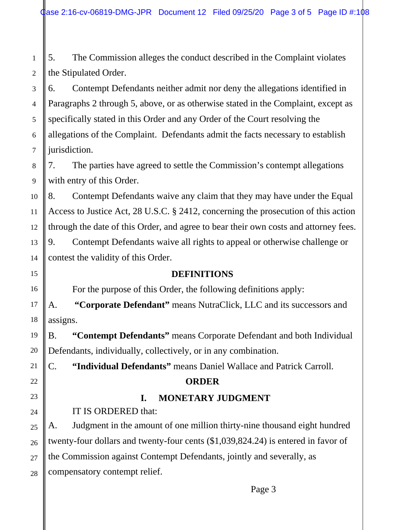5. The Commission alleges the conduct described in the Complaint violates the Stipulated Order.

6. Contempt Defendants neither admit nor deny the allegations identified in Paragraphs 2 through 5, above, or as otherwise stated in the Complaint, except as specifically stated in this Order and any Order of the Court resolving the allegations of the Complaint. Defendants admit the facts necessary to establish jurisdiction.

7. The parties have agreed to settle the Commission's contempt allegations with entry of this Order.

8. Contempt Defendants waive any claim that they may have under the Equal Access to Justice Act, 28 U.S.C. § 2412, concerning the prosecution of this action through the date of this Order, and agree to bear their own costs and attorney fees. 9. Contempt Defendants waive all rights to appeal or otherwise challenge or contest the validity of this Order.

## **DEFINITIONS**

For the purpose of this Order, the following definitions apply:

A. **"Corporate Defendant"** means NutraClick, LLC and its successors and assigns.

B. **"Contempt Defendants"** means Corporate Defendant and both Individual Defendants, individually, collectively, or in any combination.

C. **"Individual Defendants"** means Daniel Wallace and Patrick Carroll.

## **ORDER**

# **I. MONETARY JUDGMENT**

IT IS ORDERED that:

A. Judgment in the amount of one million thirty-nine thousand eight hundred twenty-four dollars and twenty-four cents (\$1,039,824.24) is entered in favor of the Commission against Contempt Defendants, jointly and severally, as compensatory contempt relief.

Page 3

28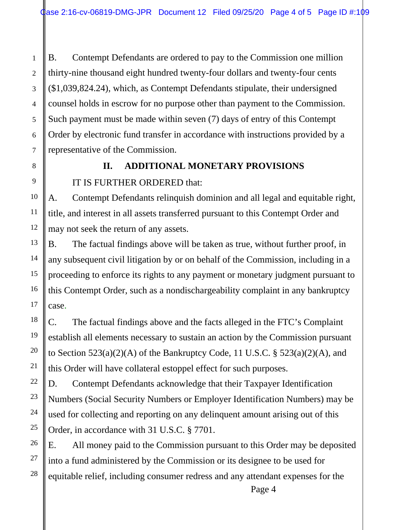B. Contempt Defendants are ordered to pay to the Commission one million thirty-nine thousand eight hundred twenty-four dollars and twenty-four cents (\$1,039,824.24), which, as Contempt Defendants stipulate, their undersigned counsel holds in escrow for no purpose other than payment to the Commission. Such payment must be made within seven (7) days of entry of this Contempt Order by electronic fund transfer in accordance with instructions provided by a representative of the Commission.

# **II. ADDITIONAL MONETARY PROVISIONS**

IT IS FURTHER ORDERED that:

A. Contempt Defendants relinquish dominion and all legal and equitable right, title, and interest in all assets transferred pursuant to this Contempt Order and may not seek the return of any assets.

B. The factual findings above will be taken as true, without further proof, in any subsequent civil litigation by or on behalf of the Commission, including in a proceeding to enforce its rights to any payment or monetary judgment pursuant to this Contempt Order, such as a nondischargeability complaint in any bankruptcy case.

C. The factual findings above and the facts alleged in the FTC's Complaint establish all elements necessary to sustain an action by the Commission pursuant to Section  $523(a)(2)(A)$  of the Bankruptcy Code, 11 U.S.C. §  $523(a)(2)(A)$ , and this Order will have collateral estoppel effect for such purposes.

D. Contempt Defendants acknowledge that their Taxpayer Identification Numbers (Social Security Numbers or Employer Identification Numbers) may be used for collecting and reporting on any delinquent amount arising out of this Order, in accordance with 31 U.S.C. § 7701.

E. All money paid to the Commission pursuant to this Order may be deposited into a fund administered by the Commission or its designee to be used for equitable relief, including consumer redress and any attendant expenses for the